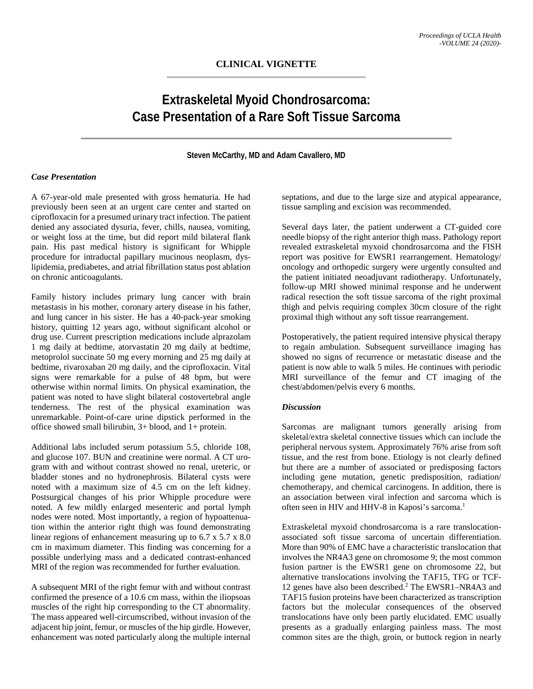## **Extraskeletal Myoid Chondrosarcoma: Case Presentation of a Rare Soft Tissue Sarcoma**

**Steven McCarthy, MD and Adam Cavallero, MD**

## *Case Presentation*

A 67-year-old male presented with gross hematuria. He had previously been seen at an urgent care center and started on ciprofloxacin for a presumed urinary tract infection. The patient denied any associated dysuria, fever, chills, nausea, vomiting, or weight loss at the time, but did report mild bilateral flank pain. His past medical history is significant for Whipple procedure for intraductal papillary mucinous neoplasm, dyslipidemia, prediabetes, and atrial fibrillation status post ablation on chronic anticoagulants.

Family history includes primary lung cancer with brain metastasis in his mother, coronary artery disease in his father, and lung cancer in his sister. He has a 40-pack-year smoking history, quitting 12 years ago, without significant alcohol or drug use. Current prescription medications include alprazolam 1 mg daily at bedtime, atorvastatin 20 mg daily at bedtime, metoprolol succinate 50 mg every morning and 25 mg daily at bedtime, rivaroxaban 20 mg daily, and the ciprofloxacin. Vital signs were remarkable for a pulse of 48 bpm, but were otherwise within normal limits. On physical examination, the patient was noted to have slight bilateral costovertebral angle tenderness. The rest of the physical examination was unremarkable. Point-of-care urine dipstick performed in the office showed small bilirubin, 3+ blood, and 1+ protein.

Additional labs included serum potassium 5.5, chloride 108, and glucose 107. BUN and creatinine were normal. A CT urogram with and without contrast showed no renal, ureteric, or bladder stones and no hydronephrosis. Bilateral cysts were noted with a maximum size of 4.5 cm on the left kidney. Postsurgical changes of his prior Whipple procedure were noted. A few mildly enlarged mesenteric and portal lymph nodes were noted. Most importantly, a region of hypoattenuation within the anterior right thigh was found demonstrating linear regions of enhancement measuring up to 6.7 x 5.7 x 8.0 cm in maximum diameter. This finding was concerning for a possible underlying mass and a dedicated contrast-enhanced MRI of the region was recommended for further evaluation.

A subsequent MRI of the right femur with and without contrast confirmed the presence of a 10.6 cm mass, within the iliopsoas muscles of the right hip corresponding to the CT abnormality. The mass appeared well-circumscribed, without invasion of the adjacent hip joint, femur, or muscles of the hip girdle. However, enhancement was noted particularly along the multiple internal septations, and due to the large size and atypical appearance, tissue sampling and excision was recommended.

Several days later, the patient underwent a CT-guided core needle biopsy of the right anterior thigh mass. Pathology report revealed extraskeletal myxoid chondrosarcoma and the FISH report was positive for EWSR1 rearrangement. Hematology/ oncology and orthopedic surgery were urgently consulted and the patient initiated neoadjuvant radiotherapy. Unfortunately, follow-up MRI showed minimal response and he underwent radical resection the soft tissue sarcoma of the right proximal thigh and pelvis requiring complex 30cm closure of the right proximal thigh without any soft tissue rearrangement.

Postoperatively, the patient required intensive physical therapy to regain ambulation. Subsequent surveillance imaging has showed no signs of recurrence or metastatic disease and the patient is now able to walk 5 miles. He continues with periodic MRI surveillance of the femur and CT imaging of the chest/abdomen/pelvis every 6 months.

## *Discussion*

Sarcomas are malignant tumors generally arising from skeletal/extra skeletal connective tissues which can include the peripheral nervous system. Approximately 76% arise from soft tissue, and the rest from bone. Etiology is not clearly defined but there are a number of associated or predisposing factors including gene mutation, genetic predisposition, radiation/ chemotherapy, and chemical carcinogens. In addition, there is an association between viral infection and sarcoma which is often seen in HIV and HHV-8 in Kaposi's sarcoma.<sup>1</sup>

Extraskeletal myxoid chondrosarcoma is a rare translocationassociated soft tissue sarcoma of uncertain differentiation. More than 90% of EMC have a characteristic translocation that involves the NR4A3 gene on chromosome 9; the most common fusion partner is the EWSR1 gene on chromosome 22, but alternative translocations involving the TAF15, TFG or TCF-12 genes have also been described.2 The EWSR1–NR4A3 and TAF15 fusion proteins have been characterized as transcription factors but the molecular consequences of the observed translocations have only been partly elucidated. EMC usually presents as a gradually enlarging painless mass. The most common sites are the thigh, groin, or buttock region in nearly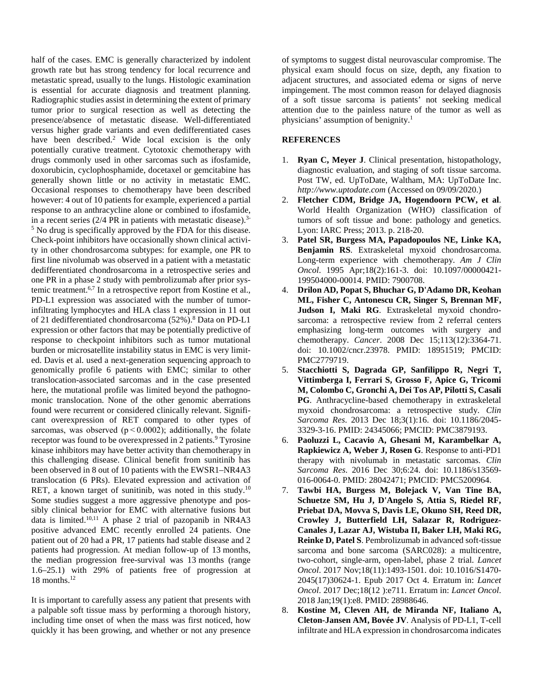half of the cases. EMC is generally characterized by indolent growth rate but has strong tendency for local recurrence and metastatic spread, usually to the lungs. Histologic examination is essential for accurate diagnosis and treatment planning. Radiographic studies assist in determining the extent of primary tumor prior to surgical resection as well as detecting the presence/absence of metastatic disease. Well-differentiated versus higher grade variants and even dedifferentiated cases have been described.<sup>2</sup> Wide local excision is the only potentially curative treatment. Cytotoxic chemotherapy with drugs commonly used in other sarcomas such as ifosfamide, doxorubicin, cyclophosphamide, docetaxel or gemcitabine has generally shown little or no activity in metastatic EMC. Occasional responses to chemotherapy have been described however: 4 out of 10 patients for example, experienced a partial response to an anthracycline alone or combined to ifosfamide, in a recent series (2/4 PR in patients with metastatic disease).3- <sup>5</sup> No drug is specifically approved by the FDA for this disease. Check-point inhibitors have occasionally shown clinical activity in other chondrosarcoma subtypes: for example, one PR to first line nivolumab was observed in a patient with a metastatic dedifferentiated chondrosarcoma in a retrospective series and one PR in a phase 2 study with pembrolizumab after prior systemic treatment.6,7 In a retrospective report from Kostine et al., PD-L1 expression was associated with the number of tumorinfiltrating lymphocytes and HLA class 1 expression in 11 out of 21 dedifferentiated chondrosarcoma (52%).<sup>8</sup> Data on PD-L1 expression or other factors that may be potentially predictive of response to checkpoint inhibitors such as tumor mutational burden or microsatellite instability status in EMC is very limited. Davis et al. used a next-generation sequencing approach to genomically profile 6 patients with EMC; similar to other translocation-associated sarcomas and in the case presented here, the mutational profile was limited beyond the pathognomonic translocation. None of the other genomic aberrations found were recurrent or considered clinically relevant. Significant overexpression of RET compared to other types of sarcomas, was observed ( $p < 0.0002$ ); additionally, the folate receptor was found to be overexpressed in 2 patients.<sup>9</sup> Tyrosine kinase inhibitors may have better activity than chemotherapy in this challenging disease. Clinical benefit from sunitinib has been observed in 8 out of 10 patients with the EWSR1–NR4A3 translocation (6 PRs). Elevated expression and activation of RET, a known target of sunitinib, was noted in this study.<sup>10</sup> Some studies suggest a more aggressive phenotype and possibly clinical behavior for EMC with alternative fusions but data is limited.<sup>10,11</sup> A phase 2 trial of pazopanib in NR4A3 positive advanced EMC recently enrolled 24 patients. One patient out of 20 had a PR, 17 patients had stable disease and 2 patients had progression. At median follow-up of 13 months, the median progression free-survival was 13 months (range 1.6–25.1) with 29% of patients free of progression at 18 months.<sup>12</sup>

It is important to carefully assess any patient that presents with a palpable soft tissue mass by performing a thorough history, including time onset of when the mass was first noticed, how quickly it has been growing, and whether or not any presence of symptoms to suggest distal neurovascular compromise. The physical exam should focus on size, depth, any fixation to adjacent structures, and associated edema or signs of nerve impingement. The most common reason for delayed diagnosis of a soft tissue sarcoma is patients' not seeking medical attention due to the painless nature of the tumor as well as physicians' assumption of benignity.<sup>1</sup>

## **REFERENCES**

- 1. **Ryan C, Meyer J**. Clinical presentation, histopathology, diagnostic evaluation, and staging of soft tissue sarcoma. Post TW, ed. UpToDate, Waltham, MA: UpToDate Inc. *http://www.uptodate.com* (Accessed on 09/09/2020.)
- 2. **Fletcher CDM, Bridge JA, Hogendoorn PCW, et al**. World Health Organization (WHO) classification of tumors of soft tissue and bone: pathology and genetics. Lyon: IARC Press; 2013. p. 218-20.
- 3. **Patel SR, Burgess MA, Papadopoulos NE, Linke KA, Benjamin RS**. Extraskeletal myxoid chondrosarcoma. Long-term experience with chemotherapy. *Am J Clin Oncol*. 1995 Apr;18(2):161-3. doi: 10.1097/00000421- 199504000-00014. PMID: 7900708.
- 4. **Drilon AD, Popat S, Bhuchar G, D'Adamo DR, Keohan ML, Fisher C, Antonescu CR, Singer S, Brennan MF, Judson I, Maki RG**. Extraskeletal myxoid chondrosarcoma: a retrospective review from 2 referral centers emphasizing long-term outcomes with surgery and chemotherapy. *Cancer*. 2008 Dec 15;113(12):3364-71. doi: 10.1002/cncr.23978. PMID: 18951519; PMCID: PMC2779719.
- 5. **Stacchiotti S, Dagrada GP, Sanfilippo R, Negri T, Vittimberga I, Ferrari S, Grosso F, Apice G, Tricomi M, Colombo C, Gronchi A, Dei Tos AP, Pilotti S, Casali PG**. Anthracycline-based chemotherapy in extraskeletal myxoid chondrosarcoma: a retrospective study. *Clin Sarcoma Res*. 2013 Dec 18;3(1):16. doi: 10.1186/2045- 3329-3-16. PMID: 24345066; PMCID: PMC3879193.
- 6. **Paoluzzi L, Cacavio A, Ghesani M, Karambelkar A, Rapkiewicz A, Weber J, Rosen G**. Response to anti-PD1 therapy with nivolumab in metastatic sarcomas. *Clin Sarcoma Res*. 2016 Dec 30;6:24. doi: 10.1186/s13569- 016-0064-0. PMID: 28042471; PMCID: PMC5200964.
- 7. **Tawbi HA, Burgess M, Bolejack V, Van Tine BA, Schuetze SM, Hu J, D'Angelo S, Attia S, Riedel RF, Priebat DA, Movva S, Davis LE, Okuno SH, Reed DR, Crowley J, Butterfield LH, Salazar R, Rodriguez-Canales J, Lazar AJ, Wistuba II, Baker LH, Maki RG, Reinke D, Patel S**. Pembrolizumab in advanced soft-tissue sarcoma and bone sarcoma (SARC028): a multicentre, two-cohort, single-arm, open-label, phase 2 trial. *Lancet Oncol*. 2017 Nov;18(11):1493-1501. doi: 10.1016/S1470- 2045(17)30624-1. Epub 2017 Oct 4. Erratum in: *Lancet Oncol*. 2017 Dec;18(12 ):e711. Erratum in: *Lancet Oncol*. 2018 Jan;19(1):e8. PMID: 28988646.
- 8. **Kostine M, Cleven AH, de Miranda NF, Italiano A, Cleton-Jansen AM, Bovée JV**. Analysis of PD-L1, T-cell infiltrate and HLA expression in chondrosarcoma indicates